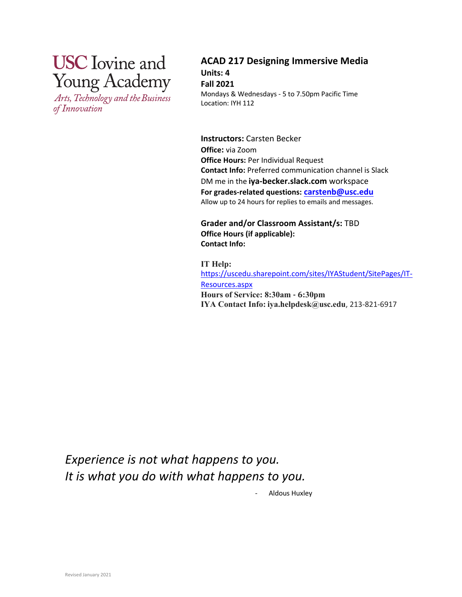# **USC** Iovine and **Young Academy**

Arts, Technology and the Business of Innovation

**ACAD 217 Designing Immersive Media Units: 4 Fall 2021** Mondays & Wednesdays - 5 to 7.50pm Pacific Time Location: IYH 112

**Instructors:** Carsten Becker **Office:** via Zoom **Office Hours:** Per Individual Request **Contact Info:** Preferred communication channel is Slack DM me in the **iya-becker.slack.com** workspace **For grades-related questions: carstenb@usc.edu** Allow up to 24 hours for replies to emails and messages.

**Grader and/or Classroom Assistant/s:** TBD **Office Hours (if applicable): Contact Info:**

**IT Help:** https://uscedu.sharepoint.com/sites/IYAStudent/SitePages/IT-Resources.aspx **Hours of Service: 8:30am - 6:30pm IYA Contact Info: iya.helpdesk@usc.edu**, 213-821-6917

*Experience is not what happens to you. It is what you do with what happens to you.*

Aldous Huxley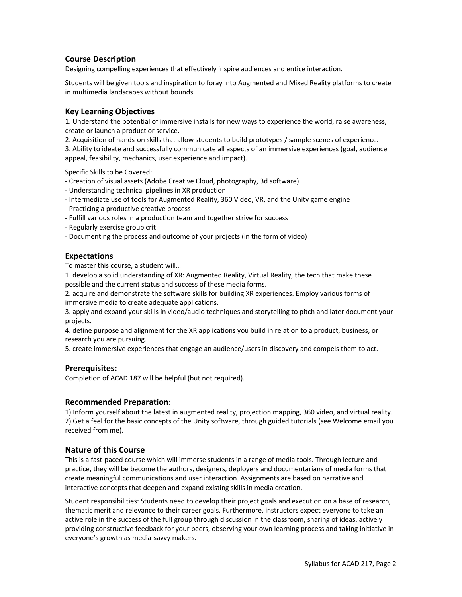## **Course Description**

Designing compelling experiences that effectively inspire audiences and entice interaction.

Students will be given tools and inspiration to foray into Augmented and Mixed Reality platforms to create in multimedia landscapes without bounds.

#### **Key Learning Objectives**

1. Understand the potential of immersive installs for new ways to experience the world, raise awareness, create or launch a product or service.

2. Acquisition of hands-on skills that allow students to build prototypes / sample scenes of experience.

3. Ability to ideate and successfully communicate all aspects of an immersive experiences (goal, audience appeal, feasibility, mechanics, user experience and impact).

Specific Skills to be Covered:

- Creation of visual assets (Adobe Creative Cloud, photography, 3d software)
- Understanding technical pipelines in XR production
- Intermediate use of tools for Augmented Reality, 360 Video, VR, and the Unity game engine
- Practicing a productive creative process
- Fulfill various roles in a production team and together strive for success
- Regularly exercise group crit
- Documenting the process and outcome of your projects (in the form of video)

## **Expectations**

To master this course, a student will…

1. develop a solid understanding of XR: Augmented Reality, Virtual Reality, the tech that make these possible and the current status and success of these media forms.

2. acquire and demonstrate the software skills for building XR experiences. Employ various forms of immersive media to create adequate applications.

3. apply and expand your skills in video/audio techniques and storytelling to pitch and later document your projects.

4. define purpose and alignment for the XR applications you build in relation to a product, business, or research you are pursuing.

5. create immersive experiences that engage an audience/users in discovery and compels them to act.

#### **Prerequisites:**

Completion of ACAD 187 will be helpful (but not required).

#### **Recommended Preparation**:

1) Inform yourself about the latest in augmented reality, projection mapping, 360 video, and virtual reality. 2) Get a feel for the basic concepts of the Unity software, through guided tutorials (see Welcome email you received from me).

#### **Nature of this Course**

This is a fast-paced course which will immerse students in a range of media tools. Through lecture and practice, they will be become the authors, designers, deployers and documentarians of media forms that create meaningful communications and user interaction. Assignments are based on narrative and interactive concepts that deepen and expand existing skills in media creation.

Student responsibilities: Students need to develop their project goals and execution on a base of research, thematic merit and relevance to their career goals. Furthermore, instructors expect everyone to take an active role in the success of the full group through discussion in the classroom, sharing of ideas, actively providing constructive feedback for your peers, observing your own learning process and taking initiative in everyone's growth as media-savvy makers.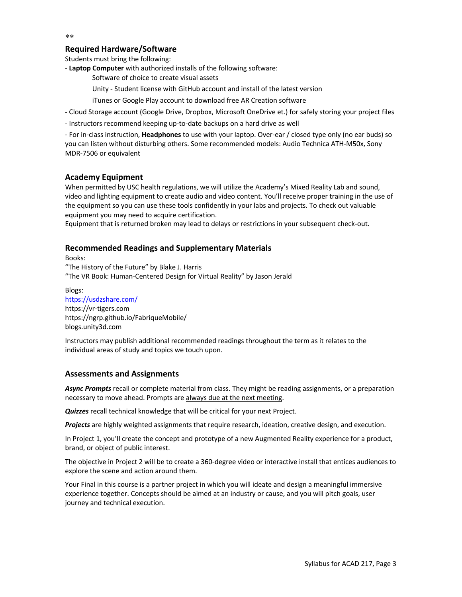#### \*\*

#### **Required Hardware/Software**

Students must bring the following:

- **Laptop Computer** with authorized installs of the following software:
	- Software of choice to create visual assets
	- Unity Student license with GitHub account and install of the latest version
	- iTunes or Google Play account to download free AR Creation software
- Cloud Storage account (Google Drive, Dropbox, Microsoft OneDrive et.) for safely storing your project files
- Instructors recommend keeping up-to-date backups on a hard drive as well

- For in-class instruction, **Headphones** to use with your laptop. Over-ear / closed type only (no ear buds) so you can listen without disturbing others. Some recommended models: Audio Technica ATH-M50x, Sony MDR-7506 or equivalent

## **Academy Equipment**

When permitted by USC health regulations, we will utilize the Academy's Mixed Reality Lab and sound, video and lighting equipment to create audio and video content. You'll receive proper training in the use of the equipment so you can use these tools confidently in your labs and projects. To check out valuable equipment you may need to acquire certification.

Equipment that is returned broken may lead to delays or restrictions in your subsequent check-out.

## **Recommended Readings and Supplementary Materials**

Books: "The History of the Future" by Blake J. Harris "The VR Book: Human-Centered Design for Virtual Reality" by Jason Jerald

Blogs: https://usdzshare.com/ https://vr-tigers.com https://ngrp.github.io/FabriqueMobile/ blogs.unity3d.com

Instructors may publish additional recommended readings throughout the term as it relates to the individual areas of study and topics we touch upon.

#### **Assessments and Assignments**

*Async Prompts* recall or complete material from class. They might be reading assignments, or a preparation necessary to move ahead. Prompts are always due at the next meeting.

*Quizzes* recall technical knowledge that will be critical for your next Project.

*Projects* are highly weighted assignments that require research, ideation, creative design, and execution.

In Project 1, you'll create the concept and prototype of a new Augmented Reality experience for a product, brand, or object of public interest.

The objective in Project 2 will be to create a 360-degree video or interactive install that entices audiences to explore the scene and action around them.

Your Final in this course is a partner project in which you will ideate and design a meaningful immersive experience together. Concepts should be aimed at an industry or cause, and you will pitch goals, user journey and technical execution.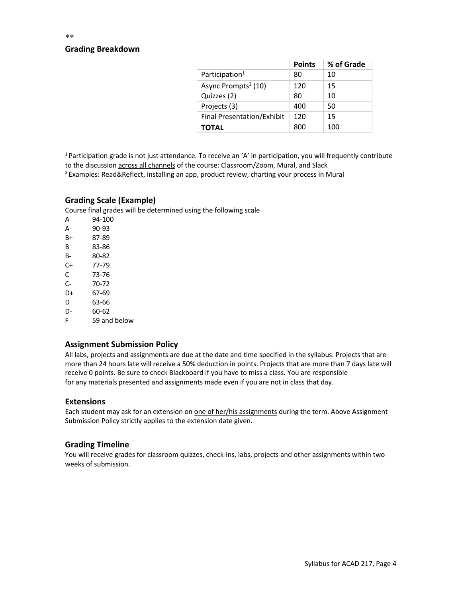## **Grading Breakdown**

|                                   | <b>Points</b> | % of Grade |
|-----------------------------------|---------------|------------|
| Participation <sup>1</sup>        | 80            | 10         |
| Async Prompts <sup>2</sup> (10)   | 120           | 15         |
| Quizzes (2)                       | 80            | 10         |
| Projects (3)                      | 400           | 50         |
| <b>Final Presentation/Exhibit</b> | 120           | 15         |
| <b>TOTAL</b>                      | 800           | 100        |

<sup>1</sup> Participation grade is not just attendance. To receive an 'A' in participation, you will frequently contribute to the discussion across all channels of the course: Classroom/Zoom, Mural, and Slack

<sup>2</sup> Examples: Read&Reflect, installing an app, product review, charting your process in Mural

#### **Grading Scale (Example)**

Course final grades will be determined using the following scale

A 94-100 A- 90-93 B+ 87-89 B 83-86 B- 80-82 C+ 77-79 C 73-76 C- 70-72 D+ 67-69 D 63-66 D- 60-62 F 59 and below

#### **Assignment Submission Policy**

All labs, projects and assignments are due at the date and time specified in the syllabus. Projects that are more than 24 hours late will receive a 50% deduction in points. Projects that are more than 7 days late will receive 0 points. Be sure to check Blackboard if you have to miss a class. You are responsible for any materials presented and assignments made even if you are not in class that day.

#### **Extensions**

Each student may ask for an extension on one of her/his assignments during the term. Above Assignment Submission Policy strictly applies to the extension date given.

#### **Grading Timeline**

You will receive grades for classroom quizzes, check-ins, labs, projects and other assignments within two weeks of submission.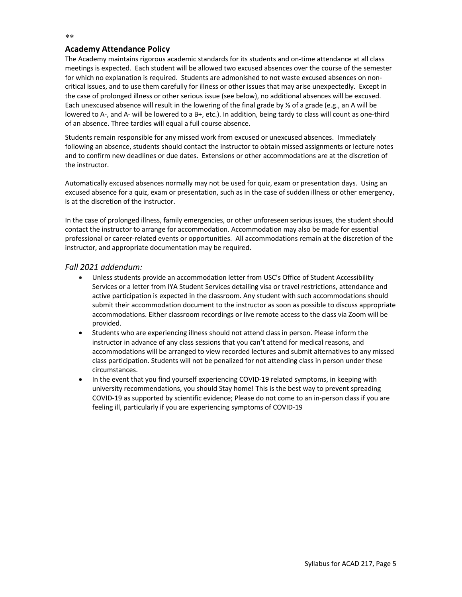## **Academy Attendance Policy**

The Academy maintains rigorous academic standards for its students and on-time attendance at all class meetings is expected. Each student will be allowed two excused absences over the course of the semester for which no explanation is required. Students are admonished to not waste excused absences on noncritical issues, and to use them carefully for illness or other issues that may arise unexpectedly. Except in the case of prolonged illness or other serious issue (see below), no additional absences will be excused. Each unexcused absence will result in the lowering of the final grade by ⅓ of a grade (e.g., an A will be lowered to A-, and A- will be lowered to a B+, etc.). In addition, being tardy to class will count as one-third of an absence. Three tardies will equal a full course absence.

Students remain responsible for any missed work from excused or unexcused absences. Immediately following an absence, students should contact the instructor to obtain missed assignments or lecture notes and to confirm new deadlines or due dates. Extensions or other accommodations are at the discretion of the instructor.

Automatically excused absences normally may not be used for quiz, exam or presentation days. Using an excused absence for a quiz, exam or presentation, such as in the case of sudden illness or other emergency, is at the discretion of the instructor.

In the case of prolonged illness, family emergencies, or other unforeseen serious issues, the student should contact the instructor to arrange for accommodation. Accommodation may also be made for essential professional or career-related events or opportunities. All accommodations remain at the discretion of the instructor, and appropriate documentation may be required.

## *Fall 2021 addendum:*

- Unless students provide an accommodation letter from USC's Office of Student Accessibility Services or a letter from IYA Student Services detailing visa or travel restrictions, attendance and active participation is expected in the classroom. Any student with such accommodations should submit their accommodation document to the instructor as soon as possible to discuss appropriate accommodations. Either classroom recordings or live remote access to the class via Zoom will be provided.
- Students who are experiencing illness should not attend class in person. Please inform the instructor in advance of any class sessions that you can't attend for medical reasons, and accommodations will be arranged to view recorded lectures and submit alternatives to any missed class participation. Students will not be penalized for not attending class in person under these circumstances.
- In the event that you find yourself experiencing COVID-19 related symptoms, in keeping with university recommendations, you should Stay home! This is the best way to prevent spreading COVID-19 as supported by scientific evidence; Please do not come to an in-person class if you are feeling ill, particularly if you are experiencing symptoms of COVID-19

\*\*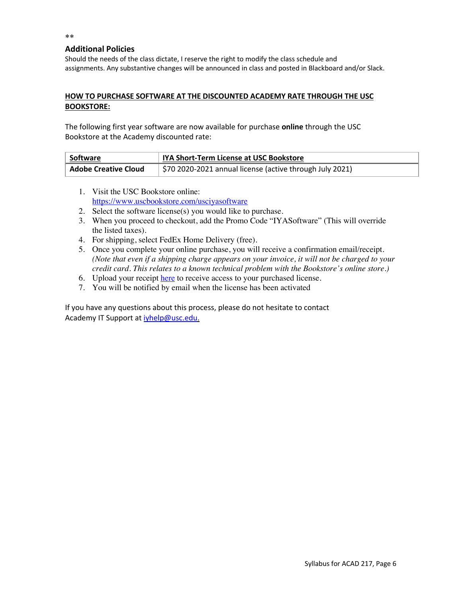## **Additional Policies**

Should the needs of the class dictate, I reserve the right to modify the class schedule and assignments. Any substantive changes will be announced in class and posted in Blackboard and/or Slack.

## **HOW TO PURCHASE SOFTWARE AT THE DISCOUNTED ACADEMY RATE THROUGH THE USC BOOKSTORE:**

The following first year software are now available for purchase **online** through the USC Bookstore at the Academy discounted rate:

| Software                    | IYA Short-Term License at USC Bookstore                                |  |
|-----------------------------|------------------------------------------------------------------------|--|
| <b>Adobe Creative Cloud</b> | $\frac{1}{2}$ \$70 2020-2021 annual license (active through July 2021) |  |

- 1. Visit the USC Bookstore online: https://www.uscbookstore.com/usciyasoftware
- 2. Select the software license(s) you would like to purchase.
- 3. When you proceed to checkout, add the Promo Code "IYASoftware" (This will override the listed taxes).
- 4. For shipping, select FedEx Home Delivery (free).
- 5. Once you complete your online purchase, you will receive a confirmation email/receipt. *(Note that even if a shipping charge appears on your invoice, it will not be charged to your credit card. This relates to a known technical problem with the Bookstore's online store.)*
- 6. Upload your receipt here to receive access to your purchased license.
- 7. You will be notified by email when the license has been activated

If you have any questions about this process, please do not hesitate to contact Academy IT Support at iyhelp@usc.edu.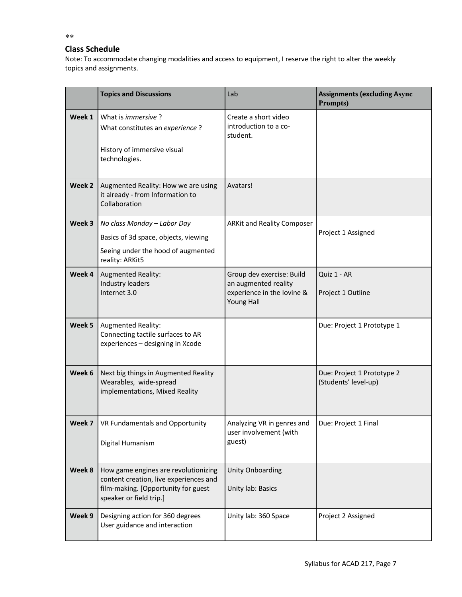## **Class Schedule**

Note: To accommodate changing modalities and access to equipment, I reserve the right to alter the weekly topics and assignments.

|        | <b>Topics and Discussions</b>                                                                                                                    | Lab                                                                                                  | <b>Assignments (excluding Async</b><br>Prompts)    |
|--------|--------------------------------------------------------------------------------------------------------------------------------------------------|------------------------------------------------------------------------------------------------------|----------------------------------------------------|
| Week 1 | What is <i>immersive</i> ?<br>What constitutes an experience?<br>History of immersive visual<br>technologies.                                    | Create a short video<br>introduction to a co-<br>student.                                            |                                                    |
| Week 2 | Augmented Reality: How we are using<br>it already - from Information to<br>Collaboration                                                         | Avatars!                                                                                             |                                                    |
| Week 3 | No class Monday - Labor Day<br>Basics of 3d space, objects, viewing<br>Seeing under the hood of augmented<br>reality: ARKit5                     | <b>ARKit and Reality Composer</b>                                                                    | Project 1 Assigned                                 |
| Week 4 | <b>Augmented Reality:</b><br>Industry leaders<br>Internet 3.0                                                                                    | Group dev exercise: Build<br>an augmented reality<br>experience in the lovine &<br><b>Young Hall</b> | Quiz 1 - AR<br>Project 1 Outline                   |
| Week 5 | Augmented Reality:<br>Connecting tactile surfaces to AR<br>experiences - designing in Xcode                                                      |                                                                                                      | Due: Project 1 Prototype 1                         |
| Week 6 | Next big things in Augmented Reality<br>Wearables, wide-spread<br>implementations, Mixed Reality                                                 |                                                                                                      | Due: Project 1 Prototype 2<br>(Students' level-up) |
|        | <b>Week 7</b>   VR Fundamentals and Opportunity<br>Digital Humanism                                                                              | Analyzing VR in genres and<br>user involvement (with<br>guest)                                       | Due: Project 1 Final                               |
| Week 8 | How game engines are revolutionizing<br>content creation, live experiences and<br>film-making. [Opportunity for guest<br>speaker or field trip.] | Unity Onboarding<br>Unity lab: Basics                                                                |                                                    |
| Week 9 | Designing action for 360 degrees<br>User guidance and interaction                                                                                | Unity lab: 360 Space                                                                                 | Project 2 Assigned                                 |

\*\*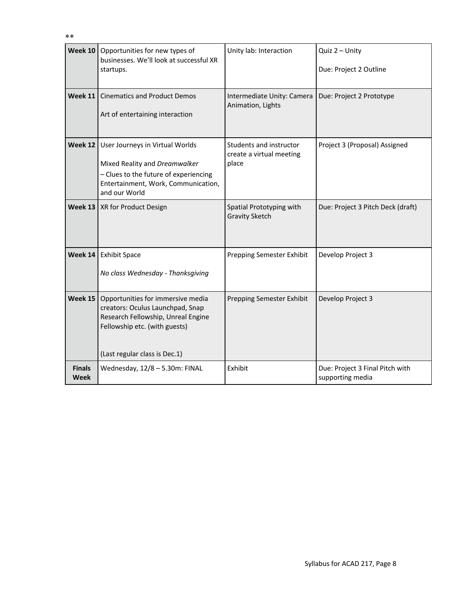|                              | Week 10   Opportunities for new types of<br>businesses. We'll look at successful XR<br>startups.                                                                              | Unity lab: Interaction                                       | Quiz 2 - Unity<br>Due: Project 2 Outline            |
|------------------------------|-------------------------------------------------------------------------------------------------------------------------------------------------------------------------------|--------------------------------------------------------------|-----------------------------------------------------|
| Week 11                      | <b>Cinematics and Product Demos</b><br>Art of entertaining interaction                                                                                                        | Intermediate Unity: Camera<br>Animation, Lights              | Due: Project 2 Prototype                            |
| <b>Week 12</b>               | User Journeys in Virtual Worlds<br>Mixed Reality and Dreamwalker<br>- Clues to the future of experiencing<br>Entertainment, Work, Communication,<br>and our World             | Students and instructor<br>create a virtual meeting<br>place | Project 3 (Proposal) Assigned                       |
|                              | Week 13   XR for Product Design                                                                                                                                               | Spatial Prototyping with<br><b>Gravity Sketch</b>            | Due: Project 3 Pitch Deck (draft)                   |
| Week 14                      | <b>Exhibit Space</b><br>No class Wednesday - Thanksgiving                                                                                                                     | Prepping Semester Exhibit                                    | Develop Project 3                                   |
| <b>Week 15</b>               | Opportunities for immersive media<br>creators: Oculus Launchpad, Snap<br>Research Fellowship, Unreal Engine<br>Fellowship etc. (with guests)<br>(Last regular class is Dec.1) | Prepping Semester Exhibit                                    | Develop Project 3                                   |
| <b>Finals</b><br><b>Week</b> | Wednesday, 12/8 - 5.30m: FINAL                                                                                                                                                | Exhibit                                                      | Due: Project 3 Final Pitch with<br>supporting media |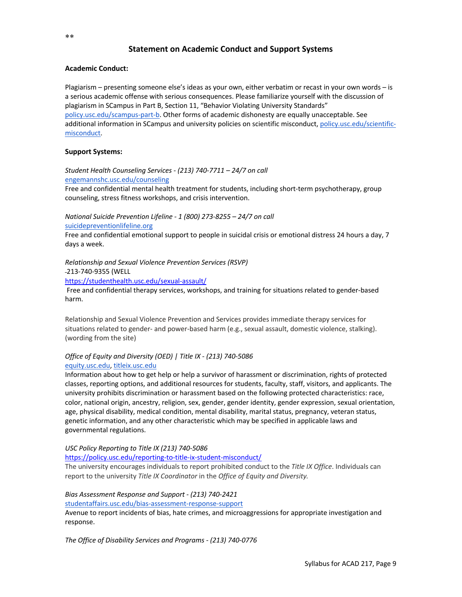# **Statement on Academic Conduct and Support Systems**

## **Academic Conduct:**

Plagiarism – presenting someone else's ideas as your own, either verbatim or recast in your own words – is a serious academic offense with serious consequences. Please familiarize yourself with the discussion of plagiarism in SCampus in Part B, Section 11, "Behavior Violating University Standards" policy.usc.edu/scampus-part-b. Other forms of academic dishonesty are equally unacceptable. See additional information in SCampus and university policies on scientific misconduct, policy.usc.edu/scientificmisconduct.

## **Support Systems:**

*Student Health Counseling Services - (213) 740-7711 – 24/7 on call* engemannshc.usc.edu/counseling

Free and confidential mental health treatment for students, including short-term psychotherapy, group counseling, stress fitness workshops, and crisis intervention.

*National Suicide Prevention Lifeline - 1 (800) 273-8255 – 24/7 on call* suicidepreventionlifeline.org

Free and confidential emotional support to people in suicidal crisis or emotional distress 24 hours a day, 7 days a week.

*Relationship and Sexual Violence Prevention Services (RSVP)*  213-740-9355 (WELL

https://studenthealth.usc.edu/sexual-assault/

Free and confidential therapy services, workshops, and training for situations related to gender-based harm.

Relationship and Sexual Violence Prevention and Services provides immediate therapy services for situations related to gender- and power-based harm (e.g., sexual assault, domestic violence, stalking). (wording from the site)

#### *Office of Equity and Diversity (OED) | Title IX - (213) 740-5086* equity.usc.edu, titleix.usc.edu

Information about how to get help or help a survivor of harassment or discrimination, rights of protected classes, reporting options, and additional resources for students, faculty, staff, visitors, and applicants. The university prohibits discrimination or harassment based on the following protected characteristics: race, color, national origin, ancestry, religion, sex, gender, gender identity, gender expression, sexual orientation, age, physical disability, medical condition, mental disability, marital status, pregnancy, veteran status, genetic information, and any other characteristic which may be specified in applicable laws and governmental regulations.

*USC Policy Reporting to Title IX (213) 740-5086*

https://policy.usc.edu/reporting-to-title-ix-student-misconduct/

The university encourages individuals to report prohibited conduct to the *Title IX Office*. Individuals can report to the university *Title IX Coordinator* in the *Office of Equity and Diversity.*

## *Bias Assessment Response and Support - (213) 740-2421*

studentaffairs.usc.edu/bias-assessment-response-support

Avenue to report incidents of bias, hate crimes, and microaggressions for appropriate investigation and response.

*The Office of Disability Services and Programs - (213) 740-0776*